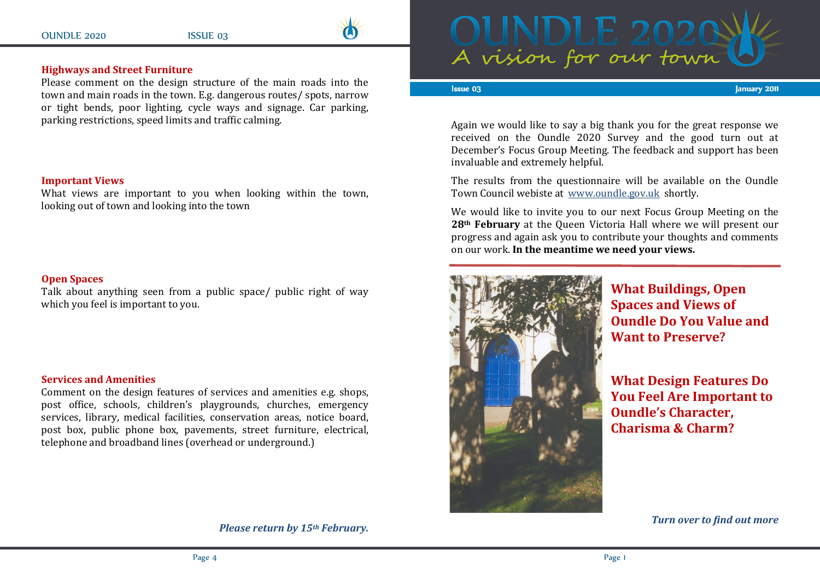

# Highways and Street Furniture

 Please comment on the design structure of the main roads into the town and main roads in the town. E.g. dangerous routes/ spots, narrow or tight bends, poor lighting, cycle ways and signage. Car parking, parking restrictions, speed limits and traffic calming.

#### Important Views

 What views are important to you when looking within the town, looking out of town and looking into the town

### Open Spaces

 Talk about anything seen from a public space/ public right of way which you feel is important to you.

### Services and Amenities

 Comment on the design features of services and amenities e.g. shops, post office, schools, children's playgrounds, churches, emergency services, library, medical facilities, conservation areas, notice board, post box, public phone box, pavements, street furniture, electrical, telephone and broadband lines (overhead or underground.)



#### Issue 03

03 January 20 January 20 January 20 January 20 January 20 January 20 January 20 January 20 January 2011

Again we would like to say a big thank you for the great response we received on the Oundle 2020 Survey and the good turn out at December's Focus Group Meeting. The feedback and support has been invaluable and extremely helpful.

The results from the questionnaire will be available on the Oundle Town Council webiste at www.oundle.gov.uk shortly.

We would like to invite you to our next Focus Group Meeting on the 28th February at the Queen Victoria Hall where we will present our progress and again ask you to contribute your thoughts and comments on our work. In the meantime we need your views.



What Buildings, Open Spaces and Views of Oundle Do You Value and Want to Preserve?

What Design Features Do You Feel Are Important to Oundle's Character, Charisma & Charm?

Turn over to find out more

Please return by 15th February.